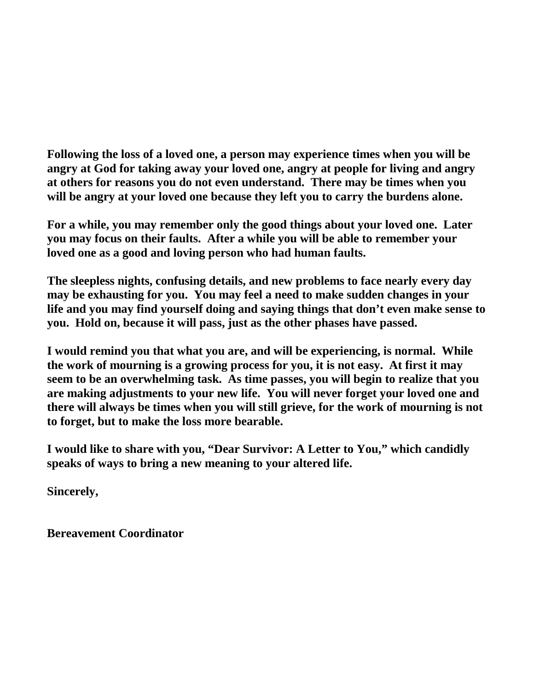**Following the loss of a loved one, a person may experience times when you will be angry at God for taking away your loved one, angry at people for living and angry at others for reasons you do not even understand. There may be times when you will be angry at your loved one because they left you to carry the burdens alone.**

**For a while, you may remember only the good things about your loved one. Later you may focus on their faults. After a while you will be able to remember your loved one as a good and loving person who had human faults.**

**The sleepless nights, confusing details, and new problems to face nearly every day may be exhausting for you. You may feel a need to make sudden changes in your life and you may find yourself doing and saying things that don't even make sense to you. Hold on, because it will pass, just as the other phases have passed.**

**I would remind you that what you are, and will be experiencing, is normal. While the work of mourning is a growing process for you, it is not easy. At first it may seem to be an overwhelming task. As time passes, you will begin to realize that you are making adjustments to your new life. You will never forget your loved one and there will always be times when you will still grieve, for the work of mourning is not to forget, but to make the loss more bearable.** 

**I would like to share with you, "Dear Survivor: A Letter to You," which candidly speaks of ways to bring a new meaning to your altered life.**

**Sincerely,**

**Bereavement Coordinator**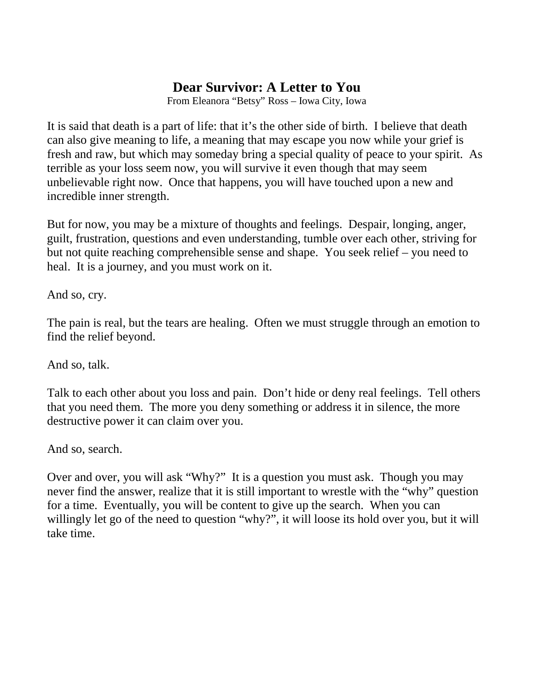## **Dear Survivor: A Letter to You**

From Eleanora "Betsy" Ross – Iowa City, Iowa

It is said that death is a part of life: that it's the other side of birth. I believe that death can also give meaning to life, a meaning that may escape you now while your grief is fresh and raw, but which may someday bring a special quality of peace to your spirit. As terrible as your loss seem now, you will survive it even though that may seem unbelievable right now. Once that happens, you will have touched upon a new and incredible inner strength.

But for now, you may be a mixture of thoughts and feelings. Despair, longing, anger, guilt, frustration, questions and even understanding, tumble over each other, striving for but not quite reaching comprehensible sense and shape. You seek relief – you need to heal. It is a journey, and you must work on it.

And so, cry.

The pain is real, but the tears are healing. Often we must struggle through an emotion to find the relief beyond.

And so, talk.

Talk to each other about you loss and pain. Don't hide or deny real feelings. Tell others that you need them. The more you deny something or address it in silence, the more destructive power it can claim over you.

And so, search.

Over and over, you will ask "Why?" It is a question you must ask. Though you may never find the answer, realize that it is still important to wrestle with the "why" question for a time. Eventually, you will be content to give up the search. When you can willingly let go of the need to question "why?", it will loose its hold over you, but it will take time.